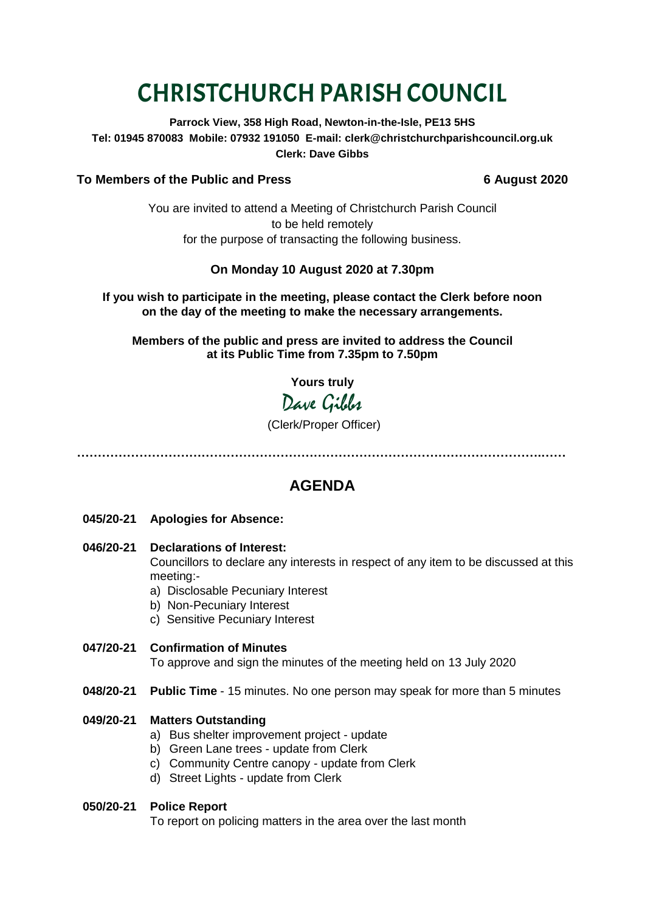# CHRISTCHURCH PARISH COUNCIL

**Parrock View, 358 High Road, Newton-in-the-Isle, PE13 5HS Tel: 01945 870083 Mobile: 07932 191050 E-mail: clerk@christchurchparishcouncil.org.uk Clerk: Dave Gibbs**

# **To Members of the Public and Press 6 August 2020**

You are invited to attend a Meeting of Christchurch Parish Council to be held remotely for the purpose of transacting the following business.

# **On Monday 10 August 2020 at 7.30pm**

**If you wish to participate in the meeting, please contact the Clerk before noon on the day of the meeting to make the necessary arrangements.**

**Members of the public and press are invited to address the Council at its Public Time from 7.35pm to 7.50pm**

**Yours truly**

Dave Gibbs

# (Clerk/Proper Officer)

**………………………………………………………………………………………………….……**

# **AGENDA**

- **045/20-21 Apologies for Absence:**
- **046/20-21 Declarations of Interest:**  Councillors to declare any interests in respect of any item to be discussed at this meeting:
	- a) Disclosable Pecuniary Interest
	- b) Non-Pecuniary Interest
	- c) Sensitive Pecuniary Interest
- **047/20-21 Confirmation of Minutes**  To approve and sign the minutes of the meeting held on 13 July 2020
- **048/20-21 Public Time** 15 minutes. No one person may speak for more than 5 minutes

### **049/20-21 Matters Outstanding**

- a) Bus shelter improvement project update
- b) Green Lane trees update from Clerk
- c) Community Centre canopy update from Clerk
- d) Street Lights update from Clerk

### **050/20-21 Police Report**

To report on policing matters in the area over the last month